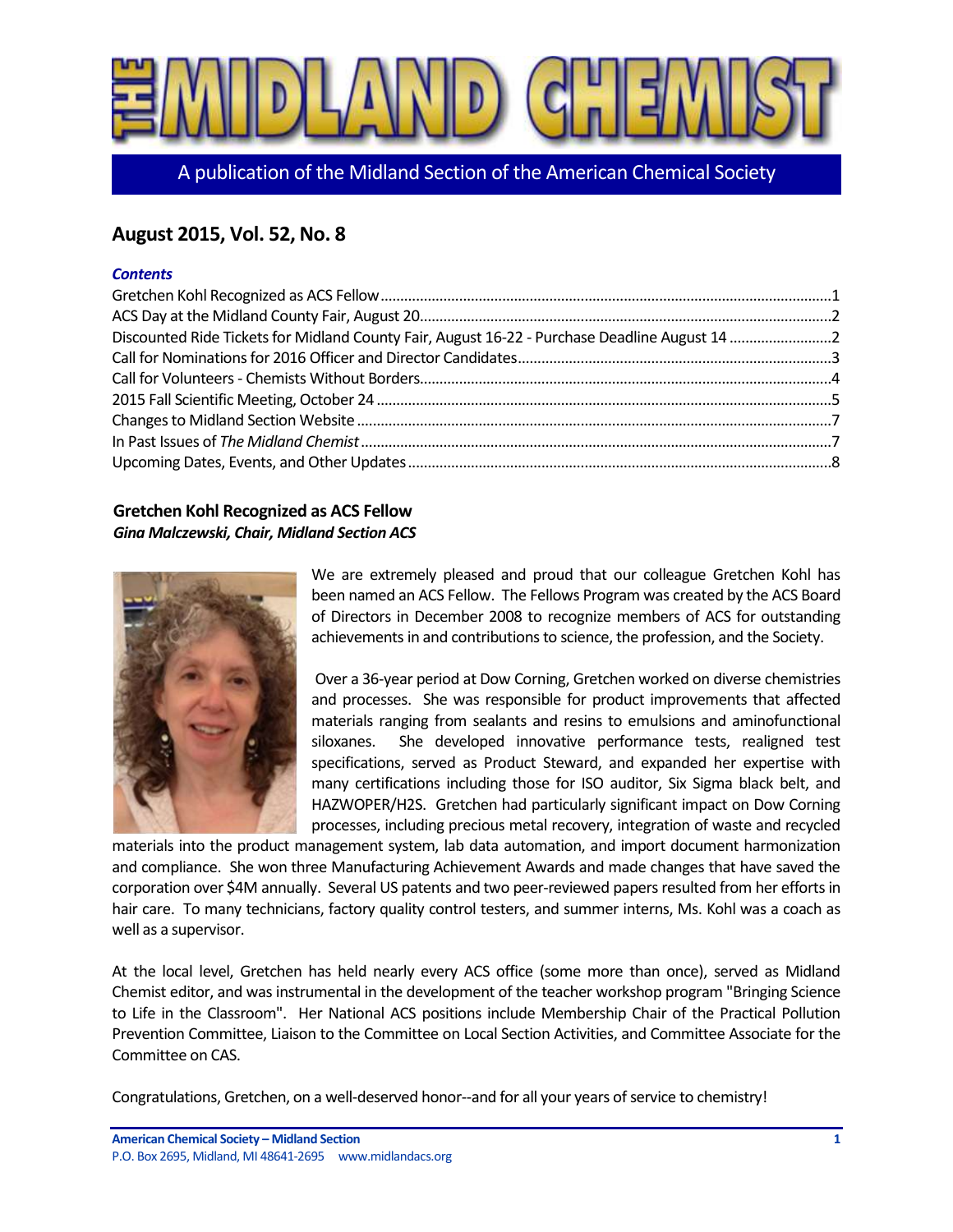

A publication of the Midland Section of the American Chemical Society

# **August 2015, Vol. 52, No. 8**

## *Contents*

#### <span id="page-0-0"></span>**Gretchen Kohl Recognized as ACS Fellow**  *Gina Malczewski, Chair, Midland Section ACS*



We are extremely pleased and proud that our colleague Gretchen Kohl has been named an ACS Fellow. The Fellows Program was created by the ACS Board of Directors in December 2008 to recognize members of ACS for outstanding achievements in and contributions to science, the profession, and the Society.

Over a 36-year period at Dow Corning, Gretchen worked on diverse chemistries and processes. She was responsible for product improvements that affected materials ranging from sealants and resins to emulsions and aminofunctional siloxanes. She developed innovative performance tests, realigned test specifications, served as Product Steward, and expanded her expertise with many certifications including those for ISO auditor, Six Sigma black belt, and HAZWOPER/H2S. Gretchen had particularly significant impact on Dow Corning processes, including precious metal recovery, integration of waste and recycled

materials into the product management system, lab data automation, and import document harmonization and compliance. She won three Manufacturing Achievement Awards and made changes that have saved the corporation over \$4M annually. Several US patents and two peer-reviewed papers resulted from her efforts in hair care. To many technicians, factory quality control testers, and summer interns, Ms. Kohl was a coach as well as a supervisor.

At the local level, Gretchen has held nearly every ACS office (some more than once), served as Midland Chemist editor, and was instrumental in the development of the teacher workshop program "Bringing Science to Life in the Classroom". Her National ACS positions include Membership Chair of the Practical Pollution Prevention Committee, Liaison to the Committee on Local Section Activities, and Committee Associate for the Committee on CAS.

Congratulations, Gretchen, on a well-deserved honor--and for all your years of service to chemistry!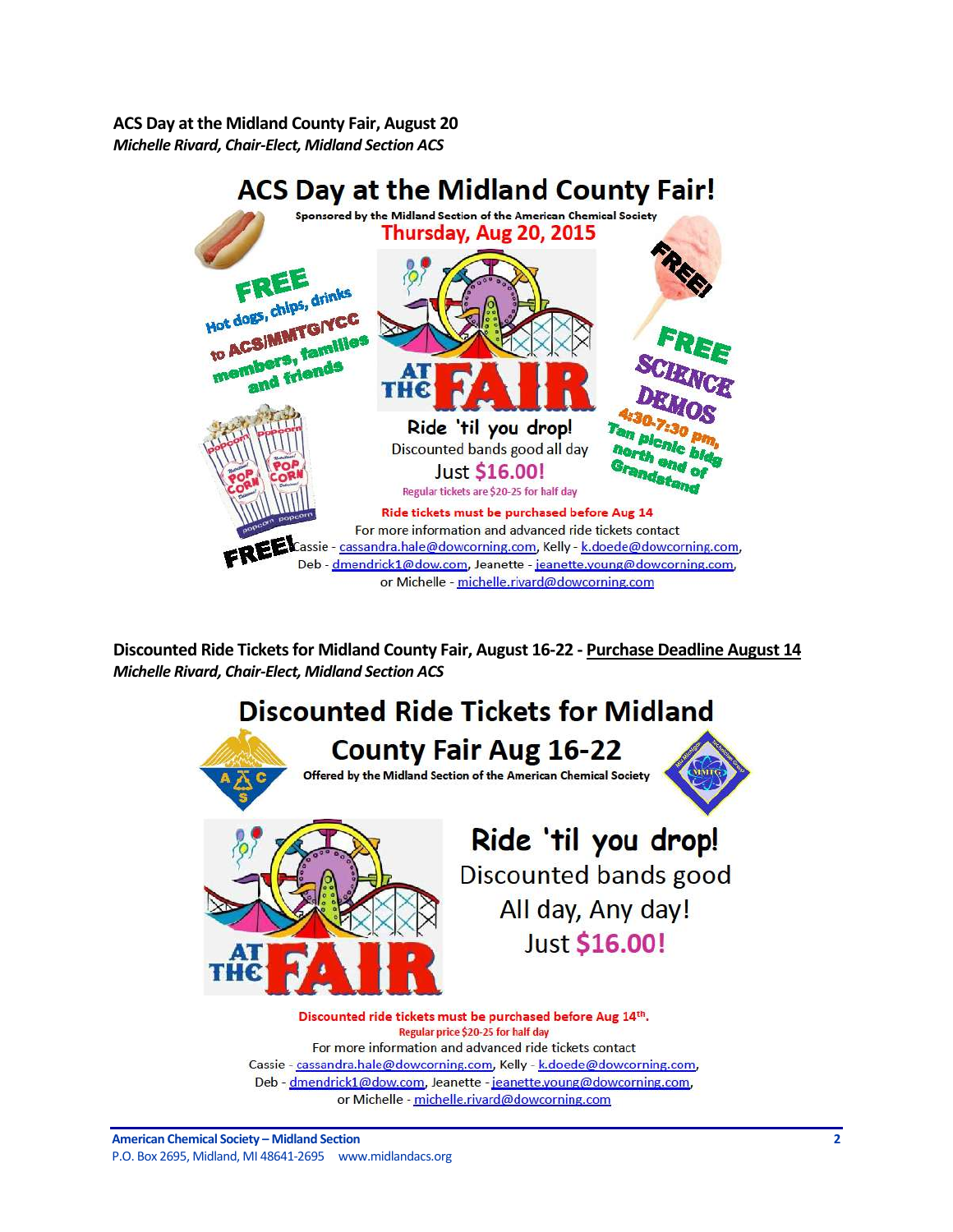<span id="page-1-0"></span>**ACS Day at the Midland County Fair, August 20** *Michelle Rivard, Chair-Elect, Midland Section ACS*



<span id="page-1-1"></span>**Discounted Ride Tickets for Midland County Fair, August 16-22 - Purchase Deadline August 14** *Michelle Rivard, Chair-Elect, Midland Section ACS*



For more information and advanced ride tickets contact Cassie - cassandra.hale@dowcorning.com, Kelly - k.doede@dowcorning.com, Deb - dmendrick1@dow.com, Jeanette - jeanette.young@dowcorning.com, or Michelle - michelle.rivard@dowcorning.com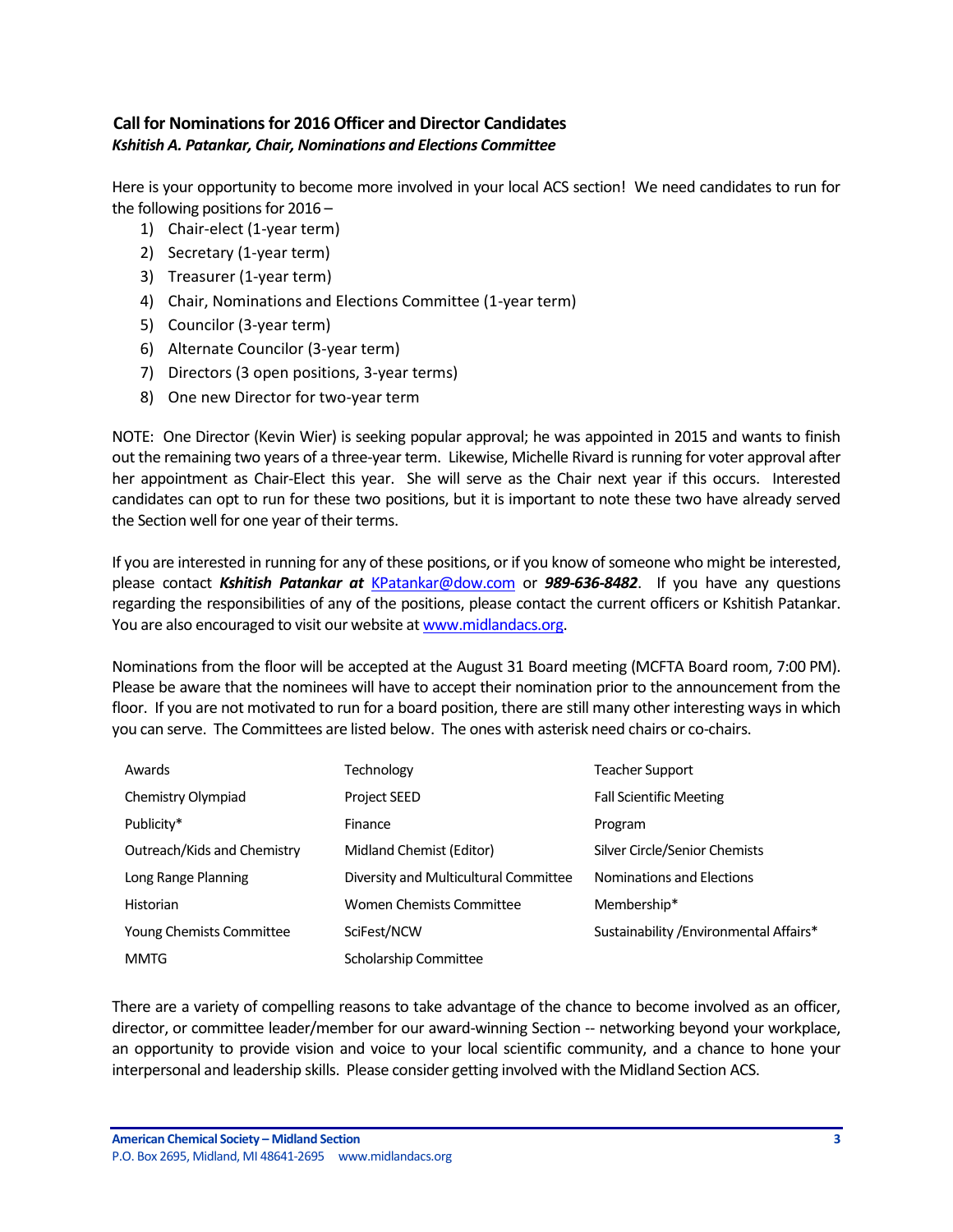# <span id="page-2-0"></span>**Call for Nominations for 2016 Officer and Director Candidates** *Kshitish A. Patankar, Chair, Nominations and Elections Committee*

Here is your opportunity to become more involved in your local ACS section! We need candidates to run for the following positions for 2016 –

- 1) Chair-elect (1-year term)
- 2) Secretary (1-year term)
- 3) Treasurer (1-year term)
- 4) Chair, Nominations and Elections Committee (1-year term)
- 5) Councilor (3-year term)
- 6) Alternate Councilor (3-year term)
- 7) Directors (3 open positions, 3-year terms)
- 8) One new Director for two-year term

NOTE: One Director (Kevin Wier) is seeking popular approval; he was appointed in 2015 and wants to finish out the remaining two years of a three-year term. Likewise, Michelle Rivard is running for voter approval after her appointment as Chair-Elect this year. She will serve as the Chair next year if this occurs. Interested candidates can opt to run for these two positions, but it is important to note these two have already served the Section well for one year of their terms.

If you are interested in running for any of these positions, or if you know of someone who might be interested, please contact *Kshitish Patankar at* KPatankar@dow.com or *989-636-8482*. If you have any questions regarding the responsibilities of any of the positions, please contact the current officers or Kshitish Patankar. You are also encouraged to visit our website at www.midlandacs.org.

Nominations from the floor will be accepted at the August 31 Board meeting (MCFTA Board room, 7:00 PM). Please be aware that the nominees will have to accept their nomination prior to the announcement from the floor. If you are not motivated to run for a board position, there are still many other interesting ways in which you can serve. The Committees are listed below. The ones with asterisk need chairs or co-chairs.

| Awards                          | Technology                            | Teacher Support                         |
|---------------------------------|---------------------------------------|-----------------------------------------|
| Chemistry Olympiad              | <b>Project SEED</b>                   | <b>Fall Scientific Meeting</b>          |
| Publicity*                      | Finance                               | Program                                 |
| Outreach/Kids and Chemistry     | Midland Chemist (Editor)              | Silver Circle/Senior Chemists           |
| Long Range Planning             | Diversity and Multicultural Committee | Nominations and Elections               |
| <b>Historian</b>                | Women Chemists Committee              | Membership*                             |
| <b>Young Chemists Committee</b> | SciFest/NCW                           | Sustainability / Environmental Affairs* |
| <b>MMTG</b>                     | Scholarship Committee                 |                                         |

There are a variety of compelling reasons to take advantage of the chance to become involved as an officer, director, or committee leader/member for our award-winning Section -- networking beyond your workplace, an opportunity to provide vision and voice to your local scientific community, and a chance to hone your interpersonal and leadership skills. Please consider getting involved with the Midland Section ACS.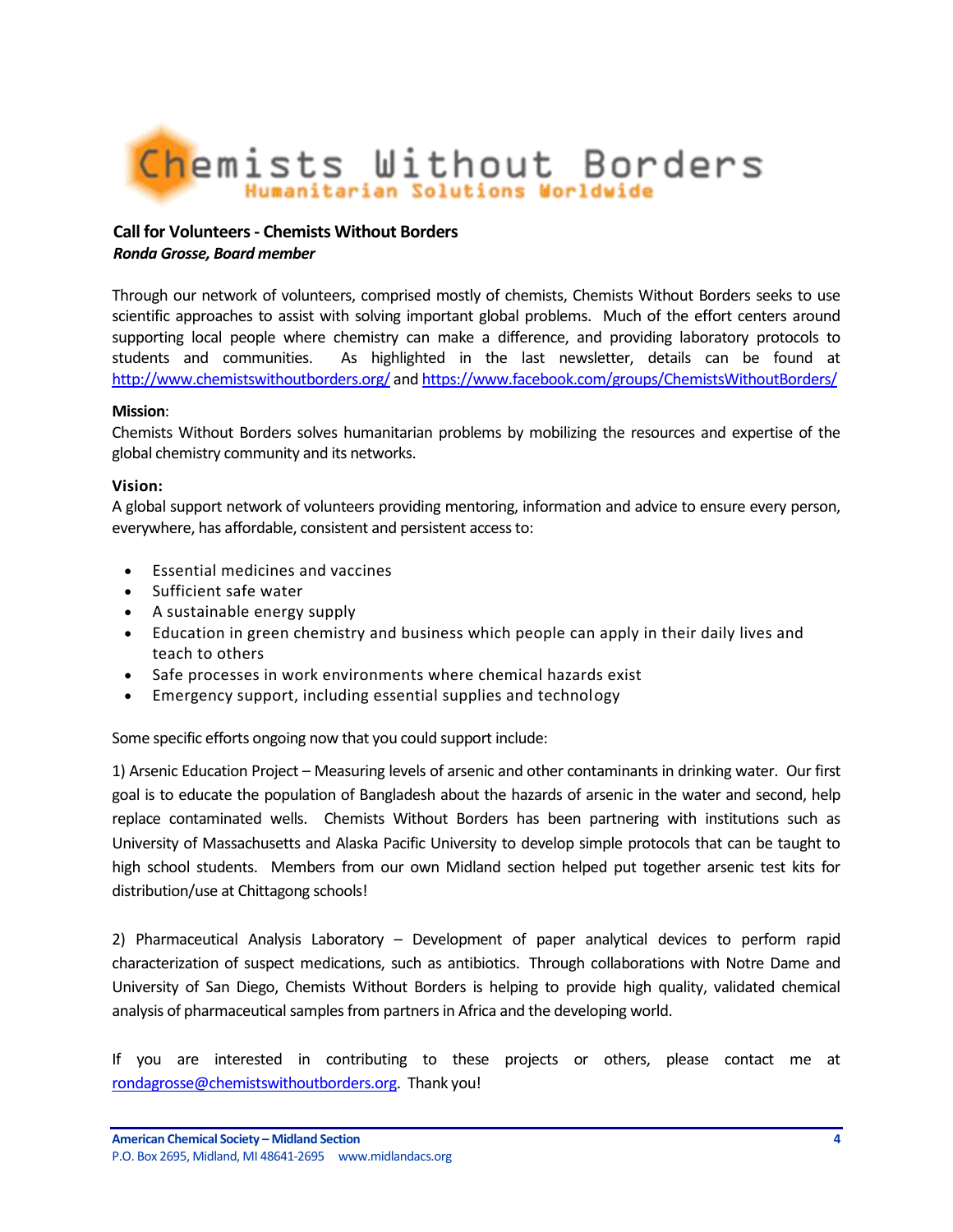

# <span id="page-3-0"></span>**Call for Volunteers - Chemists Without Borders** *Ronda Grosse, Board member*

Through our network of volunteers, comprised mostly of chemists, Chemists Without Borders seeks to use scientific approaches to assist with solving important global problems. Much of the effort centers around supporting local people where chemistry can make a difference, and providing laboratory protocols to students and communities. As highlighted in the last newsletter, details can be found at <http://www.chemistswithoutborders.org/> an[d https://www.facebook.com/groups/ChemistsWithoutBorders/](https://www.facebook.com/groups/ChemistsWithoutBorders/)

## **Mission**:

Chemists Without Borders solves humanitarian problems by mobilizing the resources and expertise of the global chemistry community and its networks.

## **Vision:**

A global support network of volunteers providing mentoring, information and advice to ensure every person, everywhere, has affordable, consistent and persistent access to:

- Essential medicines and vaccines
- Sufficient safe water
- A sustainable energy supply
- Education in green chemistry and business which people can apply in their daily lives and teach to others
- Safe processes in work environments where chemical hazards exist
- Emergency support, including essential supplies and technology

Some specific efforts ongoing now that you could support include:

1) Arsenic Education Project – Measuring levels of arsenic and other contaminants in drinking water. Our first goal is to educate the population of Bangladesh about the hazards of arsenic in the water and second, help replace contaminated wells. Chemists Without Borders has been partnering with institutions such as University of Massachusetts and Alaska Pacific University to develop simple protocols that can be taught to high school students. Members from our own Midland section helped put together arsenic test kits for distribution/use at Chittagong schools!

2) Pharmaceutical Analysis Laboratory – Development of paper analytical devices to perform rapid characterization of suspect medications, such as antibiotics. Through collaborations with Notre Dame and University of San Diego, Chemists Without Borders is helping to provide high quality, validated chemical analysis of pharmaceutical samples from partners in Africa and the developing world.

If you are interested in contributing to these projects or others, please contact me at [rondagrosse@chemistswithoutborders.org.](mailto:rondagrosse@chemistswithoutborders.org) Thank you!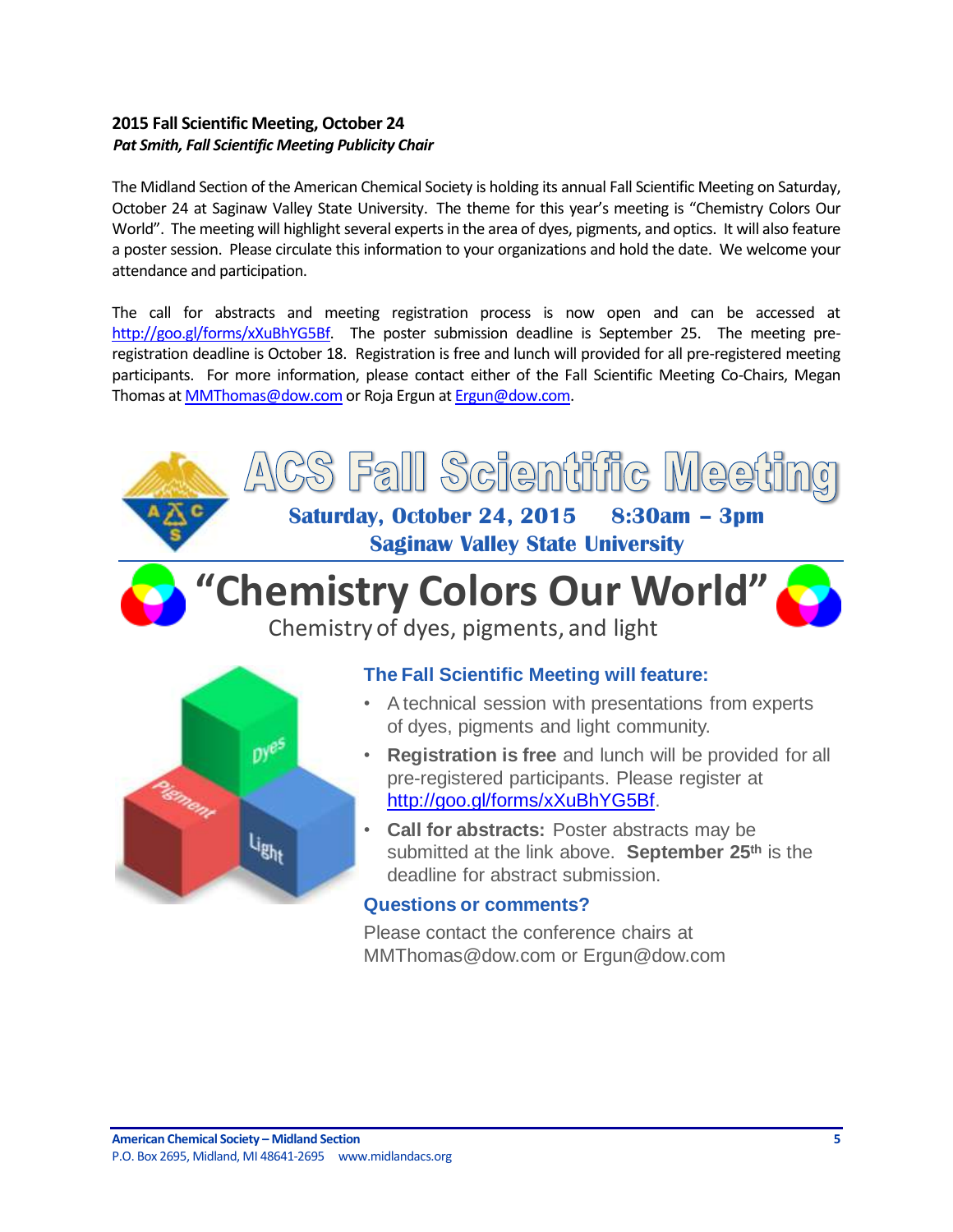# <span id="page-4-0"></span>**2015 Fall Scientific Meeting, October 24** *Pat Smith, Fall Scientific Meeting Publicity Chair*

The Midland Section of the American Chemical Society is holding its annual Fall Scientific Meeting on Saturday, October 24 at Saginaw Valley State University. The theme for this year's meeting is "Chemistry Colors Our World". The meeting will highlight several experts in the area of dyes, pigments, and optics. It will also feature a poster session. Please circulate this information to your organizations and hold the date. We welcome your attendance and participation.

The call for abstracts and meeting registration process is now open and can be accessed at [http://goo.gl/forms/xXuBhYG5Bf.](http://goo.gl/forms/xXuBhYG5Bf) The poster submission deadline is September 25. The meeting preregistration deadline is October 18. Registration is free and lunch will provided for all pre-registered meeting participants. For more information, please contact either of the Fall Scientific Meeting Co-Chairs, Megan Thomas a[t MMThomas@dow.com](mailto:MMThomas@dow.com) or Roja Ergun a[t Ergun@dow.com.](mailto:Ergun@dow.com)

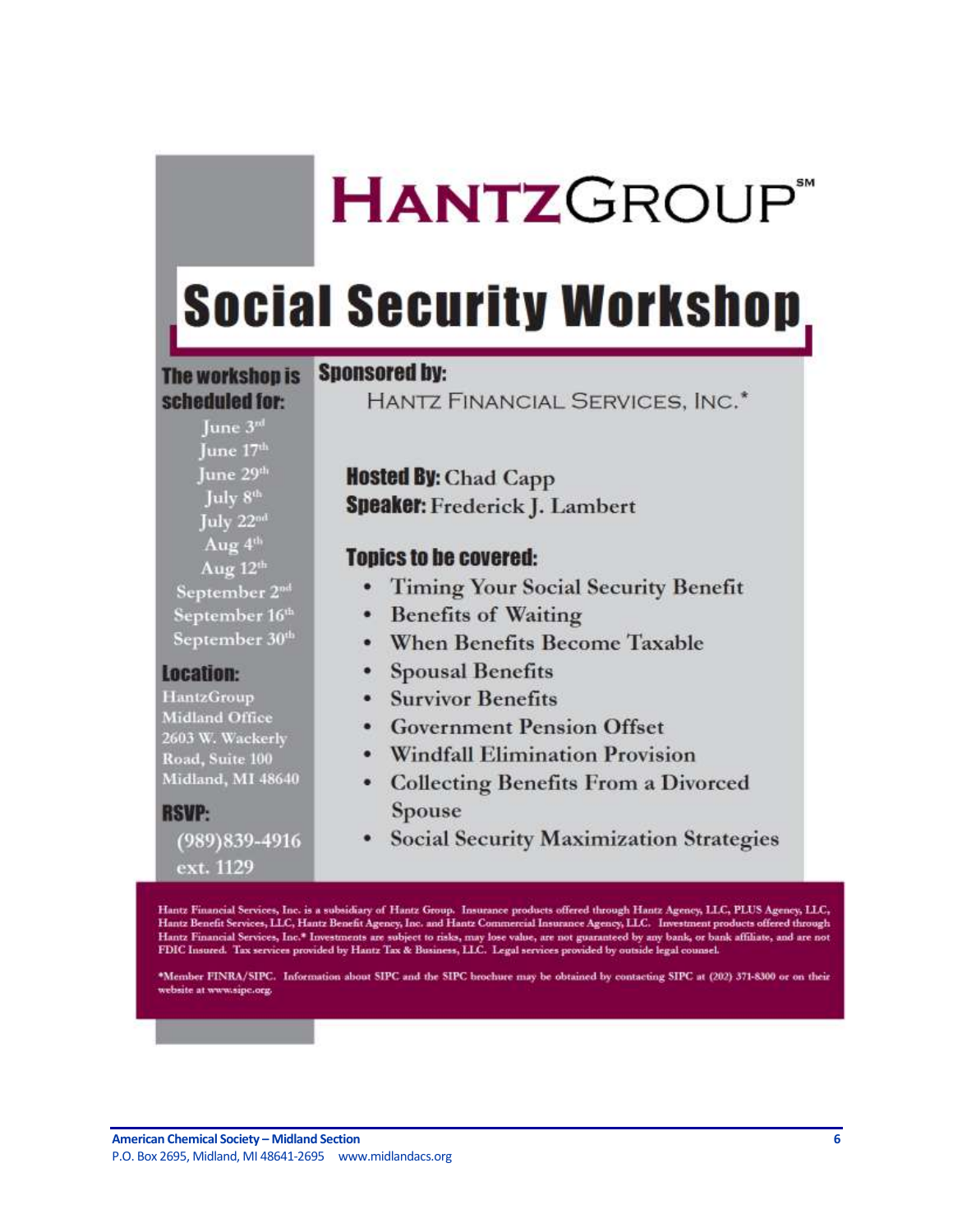# **HANTZGROUP**

# **Social Security Workshop**

# **The workshop is** scheduled for:

Tune 3rd

# **Sponsored by:**

HANTZ FINANCIAL SERVICES, INC.<sup>\*</sup>

| June 17 <sup>th</sup>      |
|----------------------------|
| June 29th                  |
| July 8 <sup>th</sup>       |
| July 22 <sup>od</sup>      |
| Aug 4th                    |
| Aug $12th$                 |
| September 2nd              |
| September 16th             |
| September 30 <sup>th</sup> |

# **Location:**

HantzGroup **Midland Office** 2603 W. Wackerly Road, Suite 100 Midland, MI 48640

**RSVP:** (989) 839-4916 ext. 1129

**Hosted By: Chad Capp Speaker:** Frederick J. Lambert

# **Topics to be covered:**

- Timing Your Social Security Benefit
- Benefits of Waiting
- When Benefits Become Taxable
- Spousal Benefits
- Survivor Benefits
- Government Pension Offset
- Windfall Elimination Provision
- Collecting Benefits From a Divorced **Spouse**
- Social Security Maximization Strategies

Hantz Financial Services, Inc. is a subsidiary of Hantz Group. Insurance products offered through Hantz Agency, LLC, PLUS Agency, LLC, Hantz Benefit Services, LLC, Hantz Benefit Agency, Inc. and Hantz Commercial Insurance Agency, LLC. Investment products offered through Hantz Financial Services, Inc.\* Investments are subject to risks, may lose value, are not guaranteed by any bank, or bank affiliate, and are not<br>FDIC Insured. Tax services provided by Hantz Tax & Business, LLC. Legal servi

\*Member FINRA/SIPC. Information about SIPC and the SIPC brochure may be obtained by contacting SIPC at (202) 371-8300 or on their website at www.sipc.org.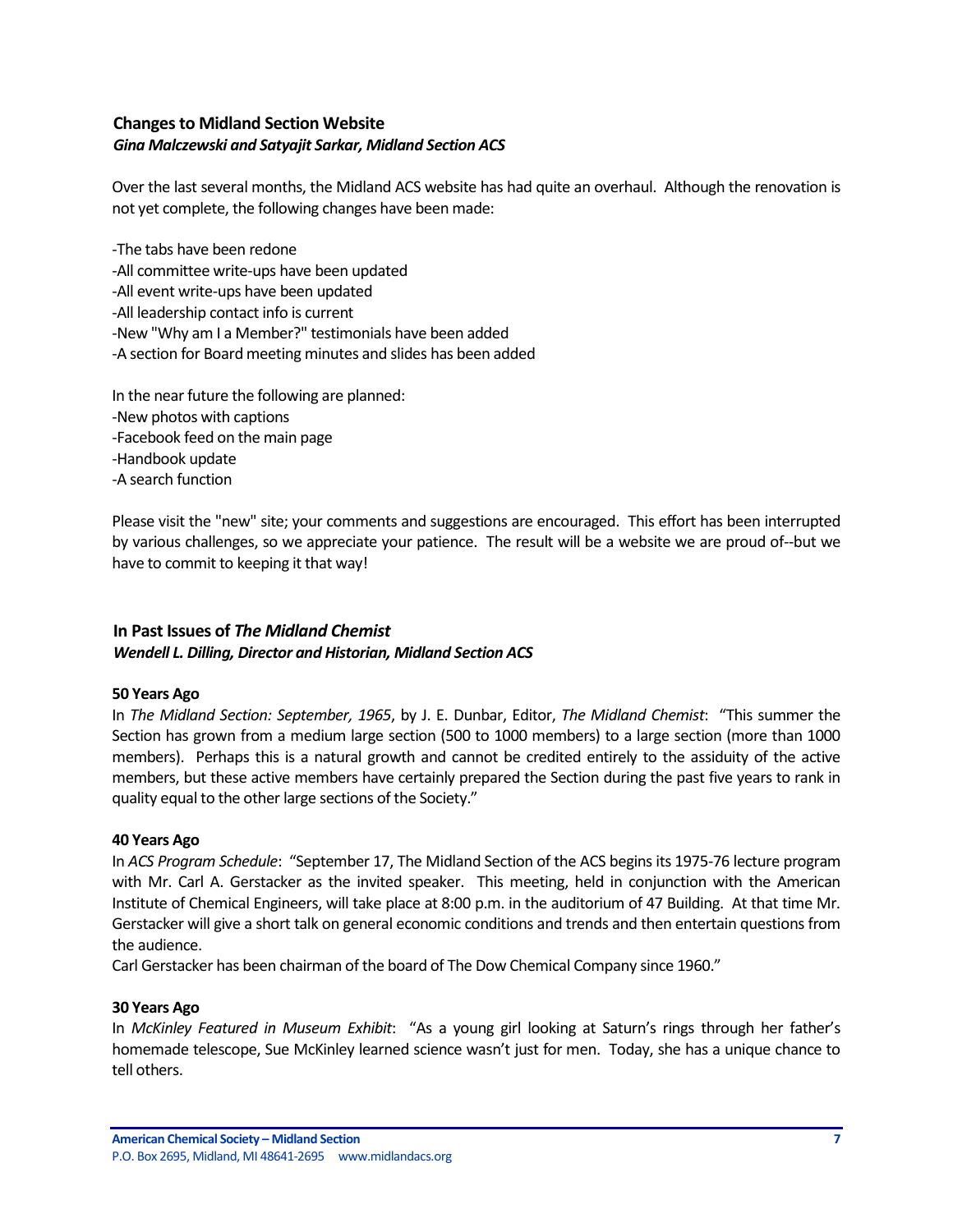# <span id="page-6-0"></span>**Changes to Midland Section Website** *Gina Malczewski and Satyajit Sarkar, Midland Section ACS*

Over the last several months, the Midland ACS website has had quite an overhaul. Although the renovation is not yet complete, the following changes have been made:

-The tabs have been redone -All committee write-ups have been updated -All event write-ups have been updated -All leadership contact info is current -New "Why am I a Member?" testimonials have been added -A section for Board meeting minutes and slides has been added

In the near future the following are planned: -New photos with captions -Facebook feed on the main page -Handbook update -A search function

Please visit the "new" site; your comments and suggestions are encouraged. This effort has been interrupted by various challenges, so we appreciate your patience. The result will be a website we are proud of--but we have to commit to keeping it that way!

# <span id="page-6-1"></span>**In Past Issues of** *The Midland Chemist*

#### *Wendell L. Dilling, Director and Historian, Midland Section ACS*

#### **50 Years Ago**

In *The Midland Section: September, 1965*, by J. E. Dunbar, Editor, *The Midland Chemist*: "This summer the Section has grown from a medium large section (500 to 1000 members) to a large section (more than 1000 members). Perhaps this is a natural growth and cannot be credited entirely to the assiduity of the active members, but these active members have certainly prepared the Section during the past five years to rank in quality equal to the other large sections of the Society."

#### **40 Years Ago**

In *ACS Program Schedule*: "September 17, The Midland Section of the ACS begins its 1975-76 lecture program with Mr. Carl A. Gerstacker as the invited speaker. This meeting, held in conjunction with the American Institute of Chemical Engineers, will take place at 8:00 p.m. in the auditorium of 47 Building. At that time Mr. Gerstacker will give a short talk on general economic conditions and trends and then entertain questions from the audience.

Carl Gerstacker has been chairman of the board of The Dow Chemical Company since 1960."

#### **30 Years Ago**

In *McKinley Featured in Museum Exhibit*: "As a young girl looking at Saturn's rings through her father's homemade telescope, Sue McKinley learned science wasn't just for men. Today, she has a unique chance to tell others.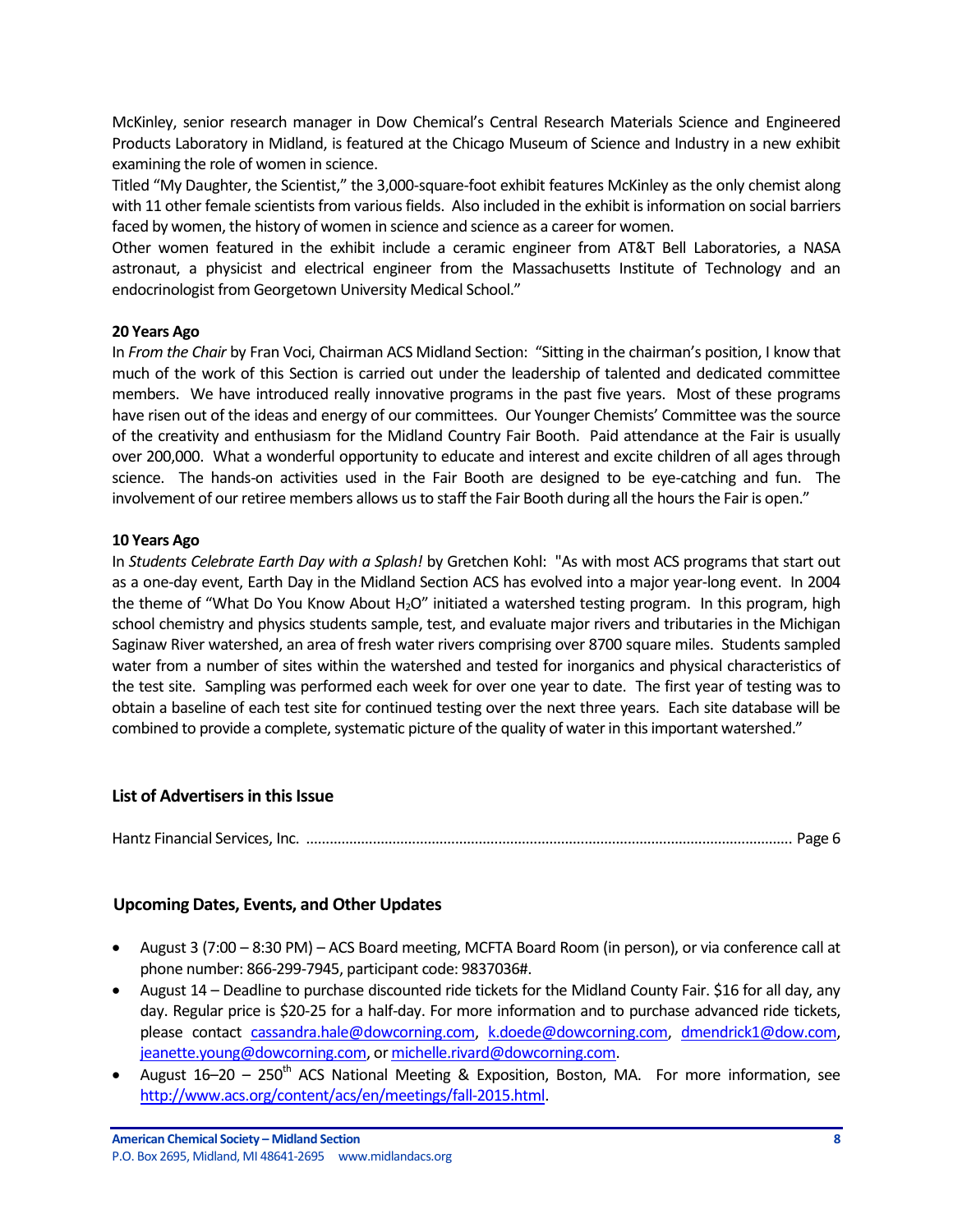McKinley, senior research manager in Dow Chemical's Central Research Materials Science and Engineered Products Laboratory in Midland, is featured at the Chicago Museum of Science and Industry in a new exhibit examining the role of women in science.

Titled "My Daughter, the Scientist," the 3,000-square-foot exhibit features McKinley as the only chemist along with 11 other female scientists from various fields. Also included in the exhibit is information on social barriers faced by women, the history of women in science and science as a career for women.

Other women featured in the exhibit include a ceramic engineer from AT&T Bell Laboratories, a NASA astronaut, a physicist and electrical engineer from the Massachusetts Institute of Technology and an endocrinologist from Georgetown University Medical School."

# **20 Years Ago**

In *From the Chair* by Fran Voci, Chairman ACS Midland Section: "Sitting in the chairman's position, I know that much of the work of this Section is carried out under the leadership of talented and dedicated committee members. We have introduced really innovative programs in the past five years. Most of these programs have risen out of the ideas and energy of our committees. Our Younger Chemists' Committee was the source of the creativity and enthusiasm for the Midland Country Fair Booth. Paid attendance at the Fair is usually over 200,000. What a wonderful opportunity to educate and interest and excite children of all ages through science. The hands-on activities used in the Fair Booth are designed to be eye-catching and fun. The involvement of our retiree members allows us to staff the Fair Booth during all the hours the Fair is open."

## **10 Years Ago**

In *Students Celebrate Earth Day with a Splash!* by Gretchen Kohl: "As with most ACS programs that start out as a one-day event, Earth Day in the Midland Section ACS has evolved into a major year-long event. In 2004 the theme of "What Do You Know About  $H_2O''$  initiated a watershed testing program. In this program, high school chemistry and physics students sample, test, and evaluate major rivers and tributaries in the Michigan Saginaw River watershed, an area of fresh water rivers comprising over 8700 square miles. Students sampled water from a number of sites within the watershed and tested for inorganics and physical characteristics of the test site. Sampling was performed each week for over one year to date. The first year of testing was to obtain a baseline of each test site for continued testing over the next three years. Each site database will be combined to provide a complete, systematic picture of the quality of water in this important watershed."

# **List of Advertisers in this Issue**

Hantz Financial Services, Inc. ............................................................................................................................ Page 6

# <span id="page-7-0"></span>**Upcoming Dates, Events, and Other Updates**

- August 3 (7:00 8:30 PM) ACS Board meeting, MCFTA Board Room (in person), or via conference call at phone number: 866-299-7945, participant code: 9837036#.
- August 14 Deadline to purchase discounted ride tickets for the Midland County Fair. \$16 for all day, any day. Regular price is \$20-25 for a half-day. For more information and to purchase advanced ride tickets, please contact [cassandra.hale@dowcorning.com,](mailto:cassandra.hale@dowcorning.com) [k.doede@dowcorning.com,](mailto:k.doede@dowcorning.com) [dmendrick1@dow.com,](mailto:dmendrick1@dow.com) [jeanette.young@dowcorning.com,](mailto:jeanette.young@dowcorning.com) o[r michelle.rivard@dowcorning.com.](mailto:michelle.rivard@dowcorning.com)
- August  $16-20 250$ <sup>th</sup> ACS National Meeting & Exposition, Boston, MA. For more information, see [http://www.acs.org/content/acs/en/meetings/fall-2015.html.](http://www.acs.org/content/acs/en/meetings/fall-2015.html)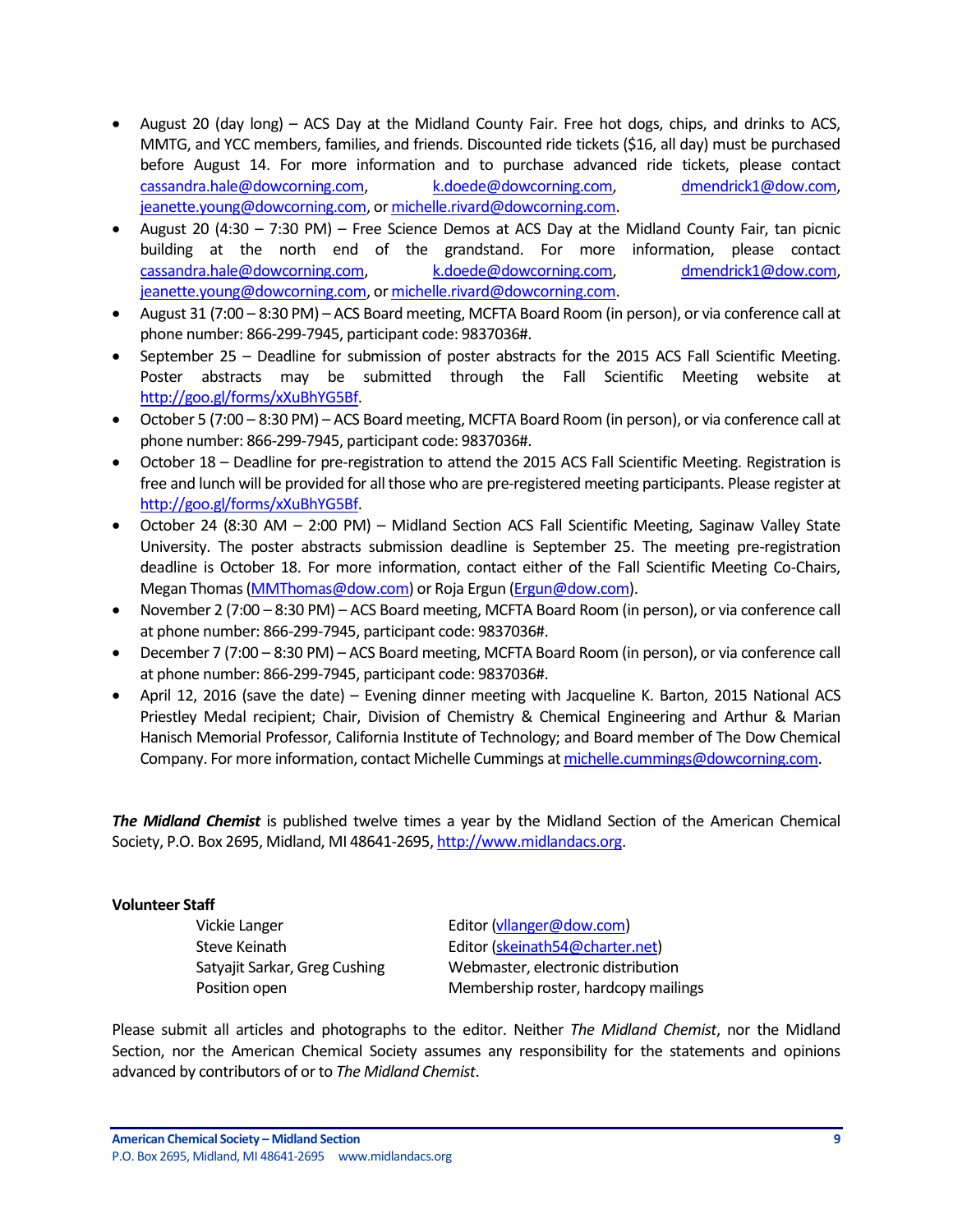- August 20 (day long) ACS Day at the Midland County Fair. Free hot dogs, chips, and drinks to ACS, MMTG, and YCC members, families, and friends. Discounted ride tickets (\$16, all day) must be purchased before August 14. For more information and to purchase advanced ride tickets, please contact [cassandra.hale@dowcorning.com,](mailto:cassandra.hale@dowcorning.com) [k.doede@dowcorning.com,](mailto:k.doede@dowcorning.com) [dmendrick1@dow.com,](mailto:dmendrick1@dow.com) [jeanette.young@dowcorning.com,](mailto:jeanette.young@dowcorning.com) o[r michelle.rivard@dowcorning.com.](mailto:michelle.rivard@dowcorning.com)
- August 20 (4:30 7:30 PM) Free Science Demos at ACS Day at the Midland County Fair, tan picnic building at the north end of the grandstand. For more information, please contact [cassandra.hale@dowcorning.com,](mailto:cassandra.hale@dowcorning.com) [k.doede@dowcorning.com,](mailto:k.doede@dowcorning.com) [dmendrick1@dow.com,](mailto:dmendrick1@dow.com) [jeanette.young@dowcorning.com,](mailto:jeanette.young@dowcorning.com) o[r michelle.rivard@dowcorning.com.](mailto:michelle.rivard@dowcorning.com)
- August 31 (7:00 8:30 PM) ACS Board meeting, MCFTA Board Room (in person), or via conference call at phone number: 866-299-7945, participant code: 9837036#.
- September 25 Deadline for submission of poster abstracts for the 2015 ACS Fall Scientific Meeting. Poster abstracts may be submitted through the Fall Scientific Meeting website at [http://goo.gl/forms/xXuBhYG5Bf.](http://goo.gl/forms/xXuBhYG5Bf)
- October 5 (7:00 8:30 PM) ACS Board meeting, MCFTA Board Room (in person), or via conference call at phone number: 866-299-7945, participant code: 9837036#.
- October 18 Deadline for pre-registration to attend the 2015 ACS Fall Scientific Meeting. Registration is free and lunch will be provided for all those who are pre-registered meeting participants. Please register at [http://goo.gl/forms/xXuBhYG5Bf.](http://goo.gl/forms/xXuBhYG5Bf)
- October 24 (8:30 AM 2:00 PM) Midland Section ACS Fall Scientific Meeting, Saginaw Valley State University. The poster abstracts submission deadline is September 25. The meeting pre-registration deadline is October 18. For more information, contact either of the Fall Scientific Meeting Co-Chairs, Megan Thomas [\(MMThomas@dow.com\)](mailto:MMThomas@dow.com) or Roja Ergun [\(Ergun@dow.com\)](mailto:Ergun@dow.com).
- November 2 (7:00 8:30 PM) ACS Board meeting, MCFTA Board Room (in person), or via conference call at phone number: 866-299-7945, participant code: 9837036#.
- December 7 (7:00 8:30 PM) ACS Board meeting, MCFTA Board Room (in person), or via conference call at phone number: 866-299-7945, participant code: 9837036#.
- April 12, 2016 (save the date) Evening dinner meeting with Jacqueline K. Barton, 2015 National ACS Priestley Medal recipient; Chair, Division of Chemistry & Chemical Engineering and Arthur & Marian Hanisch Memorial Professor, California Institute of Technology; and Board member of The Dow Chemical Company. For more information, contact Michelle Cummings a[t michelle.cummings@dowcorning.com.](mailto:michelle.cummings@dowcorning.com)

*The Midland Chemist* is published twelve times a year by the Midland Section of the American Chemical Society, P.O. Box 2695, Midland, MI 48641-2695[, http://www.midlandacs.org.](http://www.midlandacs.org/)

# **Volunteer Staff**

Vickie Langer **Editor** [\(vllanger@dow.com\)](mailto:vllanger@dow.com)

Steve Keinath Editor [\(skeinath54@charter.net\)](mailto:skeinath54@charter.net) Satyajit Sarkar, Greg Cushing Webmaster, electronic distribution Position open Membership roster, hardcopy mailings

Please submit all articles and photographs to the editor. Neither *The Midland Chemist*, nor the Midland Section, nor the American Chemical Society assumes any responsibility for the statements and opinions advanced by contributors of or to *The Midland Chemist*.